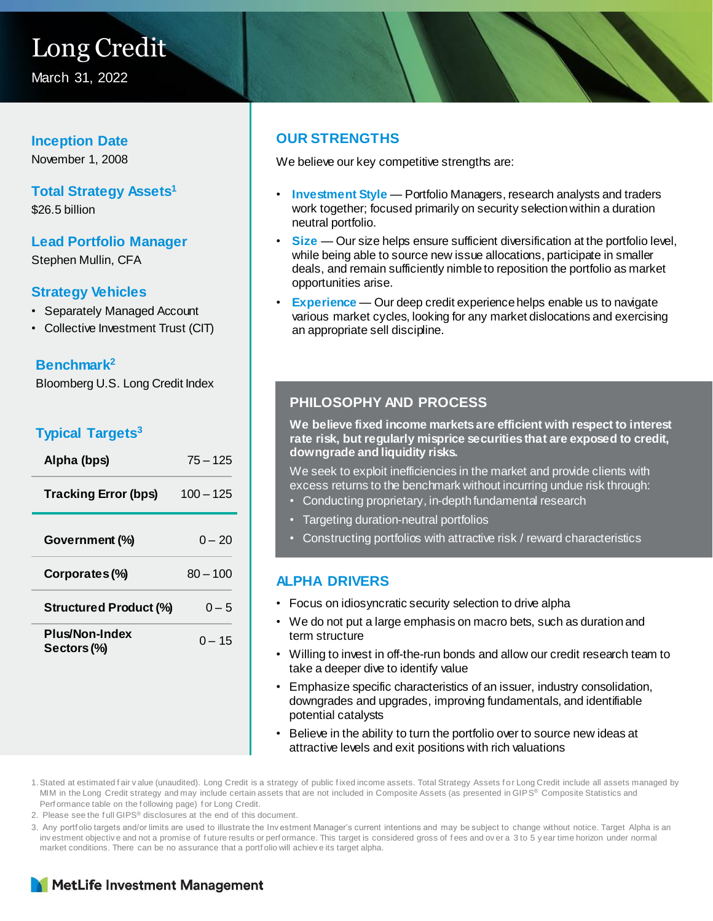# Long Credit

March 31, 2022

#### **Inception Date**

November 1, 2008

### **Total Strategy Assets<sup>1</sup>**

\$26.5 billion

## **Lead Portfolio Manager**

Stephen Mullin, CFA

#### **Strategy Vehicles**

- Separately Managed Account
- Collective Investment Trust (CIT)

#### **Benchmark<sup>2</sup>**

Bloomberg U.S. Long Credit Index

### **Typical Targets<sup>3</sup>**

| Alpha (bps)                          | $75 - 125$  |
|--------------------------------------|-------------|
| <b>Tracking Error (bps)</b>          | $100 - 125$ |
| Government (%)                       | $0 - 20$    |
| Corporates (%)                       | $80 - 100$  |
| <b>Structured Product (%)</b>        | $0 - 5$     |
| <b>Plus/Non-Index</b><br>Sectors (%) | $0 - 15$    |

#### **OUR STRENGTHS**

We believe our key competitive strengths are:

- **Investment Style**  Portfolio Managers, research analysts and traders work together; focused primarily on security selection within a duration neutral portfolio.
- **Size** Our size helps ensure sufficient diversification at the portfolio level, while being able to source new issue allocations, participate in smaller deals, and remain sufficiently nimble to reposition the portfolio as market opportunities arise.
- **Experience**  Our deep credit experience helps enable us to navigate various market cycles, looking for any market dislocations and exercising an appropriate sell discipline.

#### **PHILOSOPHY AND PROCESS**

**We believe fixed income markets are efficient with respect to interest rate risk, but regularly misprice securities that are exposed to credit, downgrade and liquidity risks.** 

We seek to exploit inefficiencies in the market and provide clients with excess returns to the benchmark without incurring undue risk through:

- Conducting proprietary, in-depth fundamental research
- Targeting duration-neutral portfolios
- Constructing portfolios with attractive risk / reward characteristics

#### **ALPHA DRIVERS**

- Focus on idiosyncratic security selection to drive alpha
- We do not put a large emphasis on macro bets, such as duration and term structure
- Willing to invest in off-the-run bonds and allow our credit research team to take a deeper dive to identify value
- Emphasize specific characteristics of an issuer, industry consolidation, downgrades and upgrades, improving fundamentals, and identifiable potential catalysts
- Believe in the ability to turn the portfolio over to source new ideas at attractive levels and exit positions with rich valuations

1. Stated at estimated fair value (unaudited). Long Credit is a strategy of public fixed income assets. Total Strategy Assets for Long Credit include all assets managed by MIM in the Long Credit strategy and may include certain assets that are not included in Composite Assets (as presented in GIPS® Composite Statistics and Perf ormance table on the f ollowing page) f or Long Credit.

2. Please see the f ull GIPS® disclosures at the end of this document.

3. Any portf olio targets and/or limits are used to illustrate the Inv estment Manager's current intentions and may be subject to change without notice. Target Alpha is an inv estment objective and not a promise of future results or perf ormance. This target is considered gross of fees and over a 3 to 5 y ear time horizon under normal market conditions. There can be no assurance that a portf olio will achiev e its target alpha.

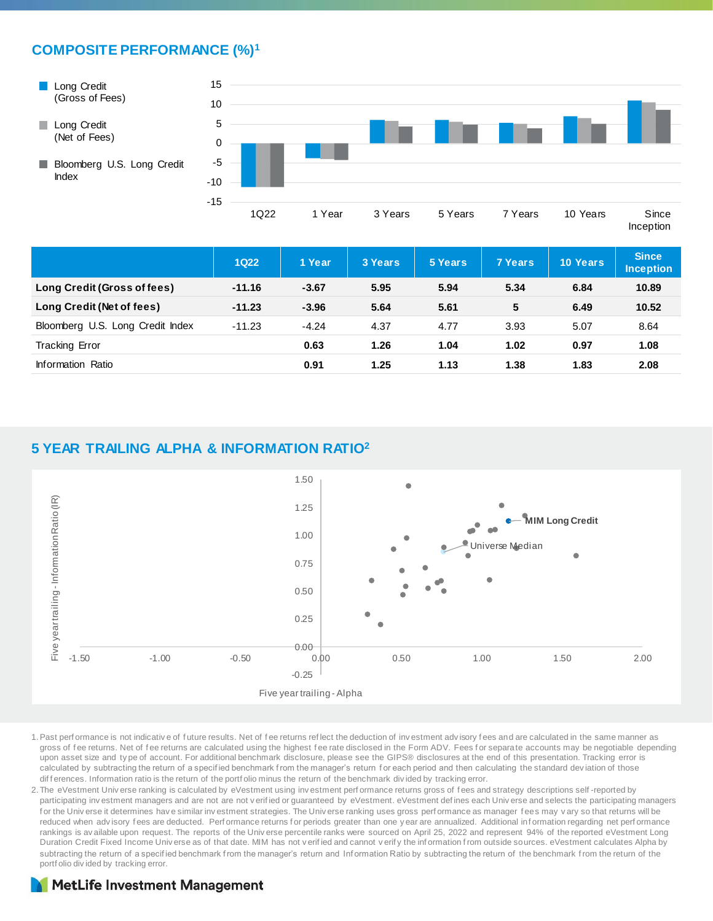#### **COMPOSITE PERFORMANCE (%)<sup>1</sup>**



Inception

|                                  | <b>1Q22</b> | 1 Year  | 3 Years | 5 Years | <b>7 Years</b> | 10 Years | <b>Since</b><br><b>Inception</b> |
|----------------------------------|-------------|---------|---------|---------|----------------|----------|----------------------------------|
| Long Credit (Gross of fees)      | $-11.16$    | $-3.67$ | 5.95    | 5.94    | 5.34           | 6.84     | 10.89                            |
| Long Credit (Net of fees)        | $-11.23$    | $-3.96$ | 5.64    | 5.61    | 5              | 6.49     | 10.52                            |
| Bloomberg U.S. Long Credit Index | $-11.23$    | $-4.24$ | 4.37    | 4.77    | 3.93           | 5.07     | 8.64                             |
| <b>Tracking Error</b>            |             | 0.63    | 1.26    | 1.04    | 1.02           | 0.97     | 1.08                             |
| Information Ratio                |             | 0.91    | 1.25    | 1.13    | 1.38           | 1.83     | 2.08                             |

#### **5 YEAR TRAILING ALPHA & INFORMATION RATIO<sup>2</sup>**



- 1.Past perf ormance is not indicativ e of f uture results. Net of f ee returns ref lect the deduction of inv estment adv isory f ees and are calculated in the same manner as gross of fee returns. Net of fee returns are calculated using the highest fee rate disclosed in the Form ADV. Fees for separate accounts may be negotiable depending upon asset size and ty pe of account. For additional benchmark disclosure, please see the GIPS® disclosures at the end of this presentation. Tracking error is calculated by subtracting the return of a specified benchmark from the manager's return for each period and then calculating the standard deviation of those dif f erences. Information ratio is the return of the portf olio minus the return of the benchmark divided by tracking error.
- 2. The eVestment Univ erse ranking is calculated by eVestment using investment performance returns gross of fees and strategy descriptions self-reported by participating investment managers and are not are not verified or guaranteed by eVestment. eVestment defines each Universe and selects the participating managers for the Univ erse it determines have similar investment strategies. The Universe ranking uses gross performance as manager fees may vary so that returns will be reduced when advisory fees are deducted. Performance returns for periods greater than one y ear are annualized. Additional information regarding net performance rankings is av ailable upon request. The reports of the Universe percentile ranks were sourced on April 25, 2022 and represent 94% of the reported eVestment Long Duration Credit Fixed Income Univ erse as of that date. MIM has not v erif ied and cannot v erif y the inf ormation f rom outside sources. eVestment calculates Alpha by subtracting the return of a specified benchmark from the manager's return and Information Ratio by subtracting the return of the benchmark from the return of the portf olio div ided by tracking error.

#### **MetLife Investment Management**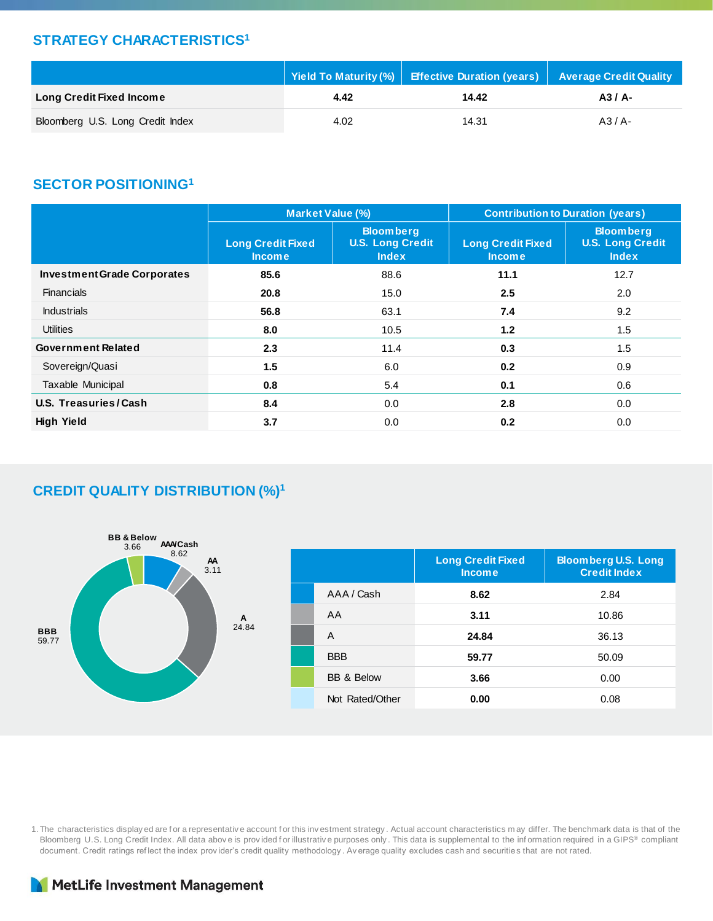#### **STRATEGY CHARACTERISTICS<sup>1</sup>**

|                                  | Yield To Maturity (%) | Effective Duration (years)   Average Credit Quality |          |
|----------------------------------|-----------------------|-----------------------------------------------------|----------|
| <b>Long Credit Fixed Income</b>  | 4.42                  | 14.42                                               | $A3/A$ - |
| Bloomberg U.S. Long Credit Index | 4.02                  | 14.31                                               | $A3/A-$  |

#### **SECTOR POSITIONING<sup>1</sup>**

|                                    | Market Value (%)                          |                                                             | <b>Contribution to Duration (years)</b>   |                                                             |  |  |
|------------------------------------|-------------------------------------------|-------------------------------------------------------------|-------------------------------------------|-------------------------------------------------------------|--|--|
|                                    | <b>Long Credit Fixed</b><br><b>Income</b> | <b>Bloomberg</b><br><b>U.S. Long Credit</b><br><b>Index</b> | <b>Long Credit Fixed</b><br><b>Income</b> | <b>Bloomberg</b><br><b>U.S. Long Credit</b><br><b>Index</b> |  |  |
| <b>Investment Grade Corporates</b> | 85.6                                      | 88.6                                                        | 11.1                                      | 12.7                                                        |  |  |
| <b>Financials</b>                  | 20.8                                      | 15.0                                                        | 2.5                                       | 2.0                                                         |  |  |
| <b>Industrials</b>                 | 56.8                                      | 63.1                                                        | 7.4                                       | 9.2                                                         |  |  |
| <b>Utilities</b>                   | 8.0                                       | 10.5                                                        | 1.2                                       | 1.5                                                         |  |  |
| <b>Government Related</b>          | 2.3                                       | 11.4                                                        | 0.3                                       | 1.5                                                         |  |  |
| Sovereign/Quasi                    | 1.5                                       | 6.0                                                         | 0.2                                       | 0.9                                                         |  |  |
| Taxable Municipal                  | 0.8                                       | 5.4                                                         | 0.1                                       | 0.6                                                         |  |  |
| U.S. Treasuries/Cash               | 8.4                                       | 0.0                                                         | 2.8                                       | 0.0                                                         |  |  |
| <b>High Yield</b>                  | 3.7                                       | 0.0                                                         | 0.2                                       | 0.0                                                         |  |  |

#### **CREDIT QUALITY DISTRIBUTION (%)<sup>1</sup>**



|                       | <b>Long Credit Fixed</b><br><b>Income</b> | <b>Bloomberg U.S. Long</b><br><b>Credit Index</b> |
|-----------------------|-------------------------------------------|---------------------------------------------------|
| AAA / Cash            | 8.62                                      | 2.84                                              |
| AA                    | 3.11                                      | 10.86                                             |
| A                     | 24.84                                     | 36.13                                             |
| <b>BBB</b>            | 59.77                                     | 50.09                                             |
| <b>BB &amp; Below</b> | 3.66                                      | 0.00                                              |
| Not Rated/Other       | 0.00                                      | 0.08                                              |

1. The characteristics display ed are f or a representativ e account f or this inv estment strategy . Actual account characteristics m ay differ. The benchmark data is that of the Bloomberg U.S. Long Credit Index. All data above is provided for illustrative purposes only. This data is supplemental to the information required in a GIPS® compliant document. Credit ratings ref lect the index prov ider's credit quality methodology . Av erage quality excludes cash and securities that are not rated.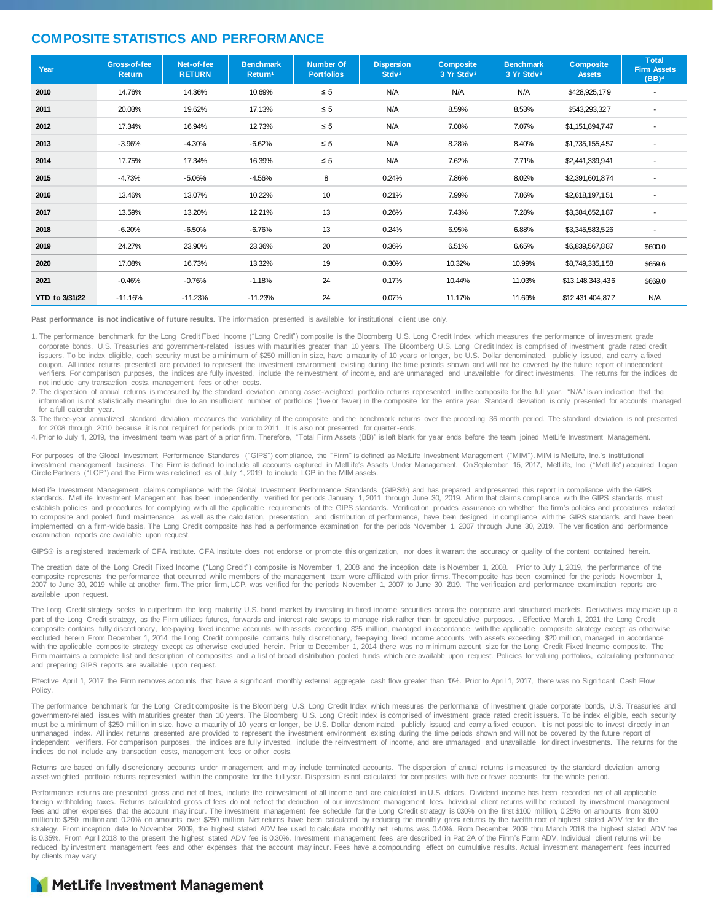#### **COMPOSITE STATISTICS AND PERFORMANCE**

| Year           | Gross-of-fee<br><b>Return</b> | Net-of-fee<br><b>RETURN</b> | <b>Benchmark</b><br>Return <sup>1</sup> | <b>Number Of</b><br><b>Portfolios</b> | <b>Dispersion</b><br>Stdy <sup>2</sup> | <b>Composite</b><br>3 Yr Stdv3 | <b>Benchmark</b><br>3 Yr Stdv3 | <b>Composite</b><br><b>Assets</b> | <b>Total</b><br><b>Firm Assets</b><br>(BB) <sup>4</sup> |
|----------------|-------------------------------|-----------------------------|-----------------------------------------|---------------------------------------|----------------------------------------|--------------------------------|--------------------------------|-----------------------------------|---------------------------------------------------------|
| 2010           | 14.76%                        | 14.36%                      | 10.69%                                  | $\leq 5$                              | N/A                                    | N/A                            | N/A                            | \$428,925,179                     |                                                         |
| 2011           | 20.03%                        | 19.62%                      | 17.13%                                  | $\leq 5$                              | N/A                                    | 8.59%                          | 8.53%                          | \$543,293,327                     | $\overline{\phantom{a}}$                                |
| 2012           | 17.34%                        | 16.94%                      | 12.73%                                  | $\leq 5$                              | N/A                                    | 7.08%                          | 7.07%                          | \$1,151,894,747                   | $\overline{\phantom{a}}$                                |
| 2013           | $-3.96%$                      | $-4.30%$                    | $-6.62%$                                | $\leq 5$                              | N/A                                    | 8.28%                          | 8.40%                          | \$1,735,155,457                   | $\overline{\phantom{a}}$                                |
| 2014           | 17.75%                        | 17.34%                      | 16.39%                                  | $\leq 5$                              | N/A                                    | 7.62%                          | 7.71%                          | \$2,441,339,941                   | $\overline{\phantom{a}}$                                |
| 2015           | $-4.73%$                      | $-5.06%$                    | $-4.56%$                                | 8                                     | 0.24%                                  | 7.86%                          | 8.02%                          | \$2,391,601,874                   |                                                         |
| 2016           | 13.46%                        | 13.07%                      | 10.22%                                  | 10                                    | 0.21%                                  | 7.99%                          | 7.86%                          | \$2,618,197,151                   |                                                         |
| 2017           | 13.59%                        | 13.20%                      | 12.21%                                  | 13                                    | 0.26%                                  | 7.43%                          | 7.28%                          | \$3,384,652,187                   |                                                         |
| 2018           | $-6.20%$                      | $-6.50%$                    | $-6.76%$                                | 13                                    | 0.24%                                  | 6.95%                          | 6.88%                          | \$3,345,583,526                   |                                                         |
| 2019           | 24.27%                        | 23.90%                      | 23.36%                                  | 20                                    | 0.36%                                  | 6.51%                          | 6.65%                          | \$6,839,567,887                   | \$600.0                                                 |
| 2020           | 17.08%                        | 16.73%                      | 13.32%                                  | 19                                    | 0.30%                                  | 10.32%                         | 10.99%                         | \$8,749,335,158                   | \$659.6                                                 |
| 2021           | $-0.46%$                      | $-0.76%$                    | $-1.18%$                                | 24                                    | 0.17%                                  | 10.44%                         | 11.03%                         | \$13,148,343,436                  | \$669.0                                                 |
| YTD to 3/31/22 | $-11.16%$                     | $-11.23%$                   | $-11.23%$                               | 24                                    | 0.07%                                  | 11.17%                         | 11.69%                         | \$12,431,404,877                  | N/A                                                     |

**Past performance is not indicative of future results.** The information presented is available for institutional client use only.

1. The performance benchmark for the Long Credit Fixed Income ("Long Credit") composite is the Bloomberg U.S. Long Credit Index which measures the performance of investment grade corporate bonds, U.S. Treasuries and government-related issues with maturities greater than 10 years. The Bloomberg U.S. Long Credit Index is comprised of investment grade rated credit issuers. To be index eligible, each security must be a minimum of \$250 million in size, have a maturity of 10 years or longer, be U.S. Dollar denominated, publicly issued, and carry a fixed coupon. All index returns presented are provided to represent the investment environment existing during the time periods shown and will not be covered by the future report of independent verifiers. For comparison purposes, the indices are fully invested, include the reinvestment of income, and are unmanaged and unavailable for direct investments. The returns for the indices do not include any transaction costs, management fees or other costs.

2. The dispersion of annual returns is measured by the standard deviation among asset-weighted portfolio returns represented in the composite for the full year. "N/A" is an indication that the information is not statistically meaningful due to an insufficient number of portfolios (five or fewer) in the composite for the entire year. Standard deviation is only presented for accounts managed for a full calendar year.

3. The three-year annualized standard deviation measures the variability of the composite and the benchmark returns over the preceding 36 month period. The standard deviation is not presented for 2008 through 2010 because it is not required for periods prior to 2011. It is also not presented for quarter-ends.

4. Prior to July 1, 2019, the investment team was part of a prior firm. Therefore, "Total Firm Assets (BB)" is left blank for year ends before the team joined MetLife Investment Management.

For purposes of the Global Investment Performance Standards ("GIPS") compliance, the "Firm" is defined as MetLife Investment Management ("MIM"). MIM is MetLife, Inc.'s institutional investment management business. The Firm is defined to include all accounts captured in MetLife's Assets Under Management. OnSeptember 15, 2017, MetLife, Inc. ("MetLife") acquired Logan Circle Partners ("LCP") and the Firm was redefined as of July 1, 2019 to include LCP in the MIM assets.

MetLife Investment Management claims compliance with the Global Investment Performance Standards (GIPS®) and has prepared and presented this report in compliance with the GIPS<br>standards. MetLife Investment Management has b establish policies and procedures for complying with all the applicable requirements of the GIPS standards. Verification provides assurance on whether the firm's policies and procedures related to composite and pooled fund maintenance, as well as the calculation, presentation, and distribution of performance, have been designed in compliance with the GIPS standards and have been implemented on a firm-wide basis. The Long Credit composite has had a performance examination for the periods November 1, 2007 through June 30, 2019. The verification and performance examination reports are available upon request.

GIPS® is a registered trademark of CFA Institute. CFA Institute does not endorse or promote this organization, nor does it warrant the accuracy or quality of the content contained herein.

The creation date of the Long Credit Fixed Income ("Long Credit") composite is November 1, 2008 and the inception date is November 1, 2008. Prior to July 1, 2019, the performance of the composite represents the performance that occurred while members of the management team were affiliated with prior firms. Thecomposite has been examined for the periods November 1, 2007 to June 30, 2019 while at another firm. The prior firm, LCP, was verified for the periods November 1, 2007 to June 30, 2019. The verification and performance examination reports are available upon request.

The Long Credit strategy seeks to outperform the long maturity U.S. bond market by investing in fixed income securities across the corporate and structured markets. Derivatives may make up a part of the Long Credit strategy, as the Firm utilizes futures, forwards and interest rate swaps to manage risk rather than br speculative purposes. . Effective March 1, 2021 the Long Credit composite contains fully discretionary, fee-paying fixed income accounts with assets exceeding \$25 million, managed in accordance with the applicable composite strategy except as otherwise excluded herein From December 1, 2014 the Long Credit composite contains fully discretionary, feepaying fixed income accounts with assets exceeding \$20 million, managed in accordance<br>with the applicable composite strategy Firm maintains a complete list and description of composites and a list of broad distribution pooled funds which are availabe upon request. Policies for valuing portfolios, calculating performance and preparing GIPS reports are available upon request.

Effective April 1, 2017 the Firm removes accounts that have a significant monthly external aggregate cash flow greater than 10%. Prior to April 1, 2017, there was no Significant Cash Flow Policy.

The performance benchmark for the Long Credit composite is the Bloomberg U.S. Long Credit Index which measures the performance of investment grade corporate bonds, U.S. Treasuries and government-related issues with maturities greater than 10 years. The Bloomberg U.S. Long Credit Index is comprised of investment grade rated credit issuers. To be index eligible, each security must be a minimum of \$250 million in size, have a maturity of 10 years or longer, be U.S. Dollar denominated, publicly issued and carry a fixed coupon. It is not possible to invest directly in an unmanaged index. All index returns presented are provided to represent the investment environment existing during the time periods shown and will not be covered by the future report of independent verifiers. For comparison purposes, the indices are fully invested, include the reinvestment of income, and are unmanaged and unavailable for direct investments. The returns for the indices do not include any transaction costs, management fees or other costs.

Returns are based on fully discretionary accounts under management and may include terminated accounts. The dispersion of annual returns is measured by the standard deviation among asset-weighted portfolio returns represented within the composite for the full year. Dispersion is not calculated for composites with five or fewer accounts for the whole period.

Performance returns are presented gross and net of fees, include the reinvestment of all income and are calculated in U.S. dollars. Dividend income has been recorded net of all applicable foreign withholding taxes. Returns calculated gross of fees do not reflect the deduction of our investment management fees. hdividual client returns will be reduced by investment management fees and other expenses that the account may incur. The investment management fee schedule for the Long Credit strategy is 030% on the first \$100 million, 0.25% on amounts from \$100 million to \$250 million and 0.20% on amounts over \$250 million. Net returns have been calculated by reducing the monthly gross returns by the twelfth root of highest stated ADV fee for the strategy. From inception date to November 2009, the highest stated ADV fee used to calculate monthly net returns was 0.40%. From December 2009 thru March 2018 the highest stated ADV fee is 0.35%. From April 2018 to the present the highest stated ADV fee is 0.30%. Investment management fees are described in Part 2A of the Firm's Form ADV. Individual client returns will be reduced by investment management fees and other expenses that the account may incur. Fees have a compounding effect on cumulaive results. Actual investment management fees incurred by clients may vary.

#### MetLife Investment Management